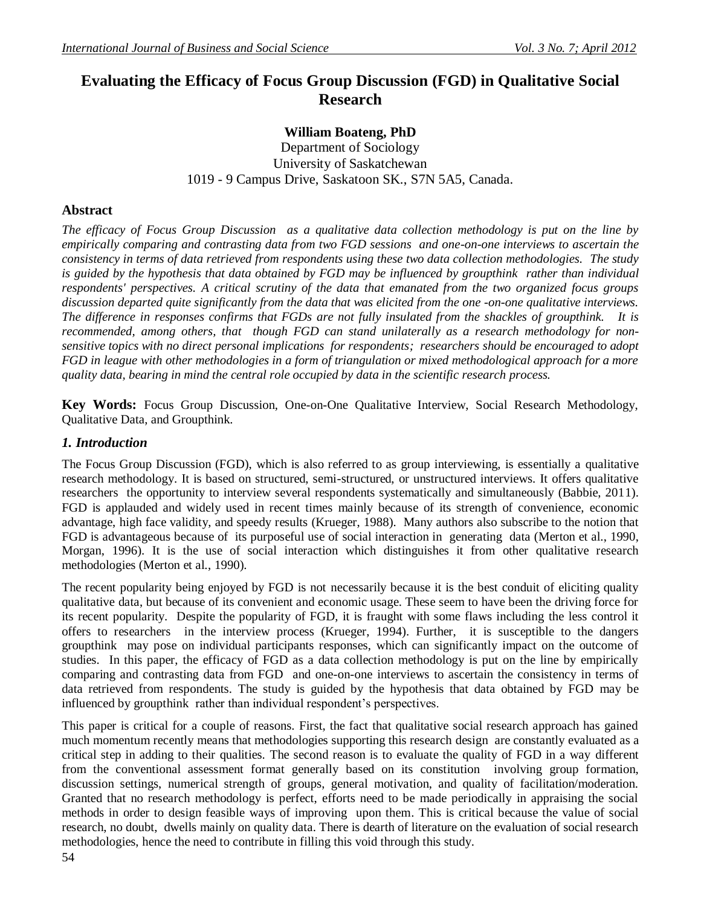# **Evaluating the Efficacy of Focus Group Discussion (FGD) in Qualitative Social Research**

## **William Boateng, PhD**

Department of Sociology University of Saskatchewan 1019 - 9 Campus Drive, Saskatoon SK., S7N 5A5, Canada.

## **Abstract**

*The efficacy of Focus Group Discussion as a qualitative data collection methodology is put on the line by empirically comparing and contrasting data from two FGD sessions and one-on-one interviews to ascertain the consistency in terms of data retrieved from respondents using these two data collection methodologies. The study is guided by the hypothesis that data obtained by FGD may be influenced by groupthink rather than individual respondents' perspectives. A critical scrutiny of the data that emanated from the two organized focus groups discussion departed quite significantly from the data that was elicited from the one -on-one qualitative interviews. The difference in responses confirms that FGDs are not fully insulated from the shackles of groupthink. It is recommended, among others, that though FGD can stand unilaterally as a research methodology for nonsensitive topics with no direct personal implications for respondents; researchers should be encouraged to adopt FGD in league with other methodologies in a form of triangulation or mixed methodological approach for a more quality data, bearing in mind the central role occupied by data in the scientific research process.* 

**Key Words:** Focus Group Discussion, One-on-One Qualitative Interview, Social Research Methodology, Qualitative Data, and Groupthink.

### *1. Introduction*

The Focus Group Discussion (FGD), which is also referred to as group interviewing, is essentially a qualitative research methodology. It is based on structured, semi-structured, or unstructured interviews. It offers qualitative researchers the opportunity to interview several respondents systematically and simultaneously (Babbie, 2011). FGD is applauded and widely used in recent times mainly because of its strength of convenience, economic advantage, high face validity, and speedy results (Krueger, 1988). Many authors also subscribe to the notion that FGD is advantageous because of its purposeful use of social interaction in generating data (Merton et al., 1990, Morgan, 1996). It is the use of social interaction which distinguishes it from other qualitative research methodologies (Merton et al., 1990).

The recent popularity being enjoyed by FGD is not necessarily because it is the best conduit of eliciting quality qualitative data, but because of its convenient and economic usage. These seem to have been the driving force for its recent popularity. Despite the popularity of FGD, it is fraught with some flaws including the less control it offers to researchers in the interview process (Krueger, 1994). Further, it is susceptible to the dangers groupthink may pose on individual participants responses, which can significantly impact on the outcome of studies. In this paper, the efficacy of FGD as a data collection methodology is put on the line by empirically comparing and contrasting data from FGD and one-on-one interviews to ascertain the consistency in terms of data retrieved from respondents. The study is guided by the hypothesis that data obtained by FGD may be influenced by groupthink rather than individual respondent's perspectives.

This paper is critical for a couple of reasons. First, the fact that qualitative social research approach has gained much momentum recently means that methodologies supporting this research design are constantly evaluated as a critical step in adding to their qualities. The second reason is to evaluate the quality of FGD in a way different from the conventional assessment format generally based on its constitution involving group formation, discussion settings, numerical strength of groups, general motivation, and quality of facilitation/moderation. Granted that no research methodology is perfect, efforts need to be made periodically in appraising the social methods in order to design feasible ways of improving upon them. This is critical because the value of social research, no doubt, dwells mainly on quality data. There is dearth of literature on the evaluation of social research methodologies, hence the need to contribute in filling this void through this study.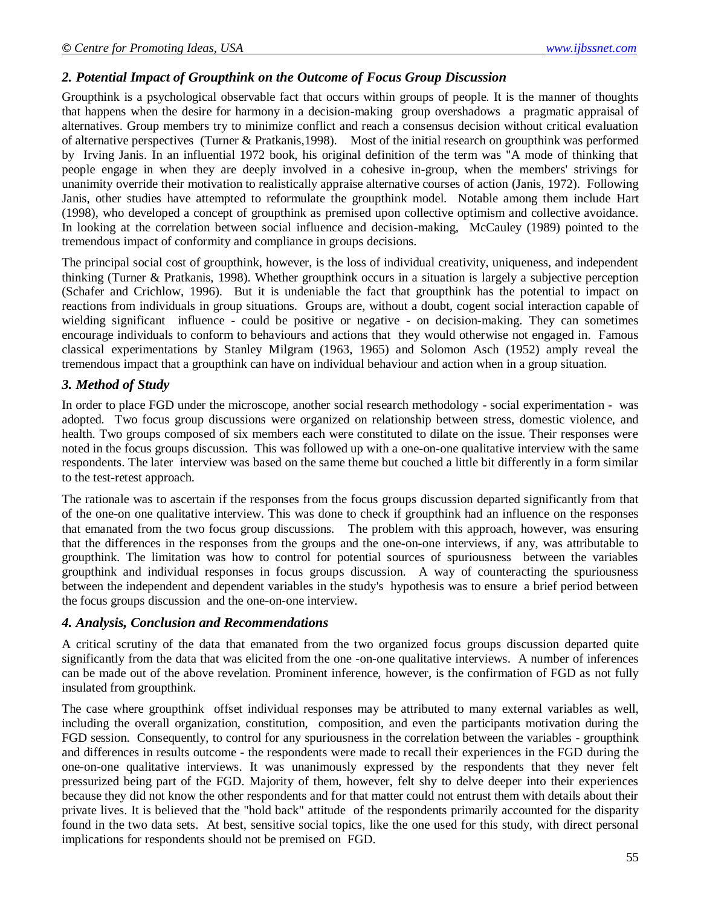### *2. Potential Impact of Groupthink on the Outcome of Focus Group Discussion*

Groupthink is a psychological observable fact that occurs within groups of people. It is the manner of thoughts that happens when the desire for harmony in a decision-making group overshadows a pragmatic appraisal of alternatives. Group members try to minimize conflict and reach a consensus decision without critical evaluation of alternative perspectives (Turner & Pratkanis,1998). Most of the initial research on groupthink was performed by Irving Janis. In an influential 1972 book, his original definition of the term was "A mode of thinking that people engage in when they are deeply involved in a cohesive in-group, when the members' strivings for unanimity override their motivation to realistically appraise alternative courses of action (Janis, 1972). Following Janis, other studies have attempted to reformulate the groupthink model. Notable among them include Hart (1998), who developed a concept of groupthink as premised upon collective optimism and collective avoidance. In looking at the correlation between social influence and decision-making, McCauley (1989) pointed to the tremendous impact of conformity and compliance in groups decisions.

The principal social cost of groupthink, however, is the loss of individual creativity, uniqueness, and independent thinking (Turner & Pratkanis, 1998). Whether groupthink occurs in a situation is largely a subjective perception (Schafer and Crichlow, 1996). But it is undeniable the fact that groupthink has the potential to impact on reactions from individuals in group situations. Groups are, without a doubt, cogent social interaction capable of wielding significant influence - could be positive or negative - on decision-making. They can sometimes encourage individuals to conform to behaviours and actions that they would otherwise not engaged in. Famous classical experimentations by Stanley Milgram (1963, 1965) and Solomon Asch (1952) amply reveal the tremendous impact that a groupthink can have on individual behaviour and action when in a group situation.

#### *3. Method of Study*

In order to place FGD under the microscope, another social research methodology - social experimentation - was adopted. Two focus group discussions were organized on relationship between stress, domestic violence, and health. Two groups composed of six members each were constituted to dilate on the issue. Their responses were noted in the focus groups discussion. This was followed up with a one-on-one qualitative interview with the same respondents. The later interview was based on the same theme but couched a little bit differently in a form similar to the test-retest approach.

The rationale was to ascertain if the responses from the focus groups discussion departed significantly from that of the one-on one qualitative interview. This was done to check if groupthink had an influence on the responses that emanated from the two focus group discussions. The problem with this approach, however, was ensuring that the differences in the responses from the groups and the one-on-one interviews, if any, was attributable to groupthink. The limitation was how to control for potential sources of spuriousness between the variables groupthink and individual responses in focus groups discussion. A way of counteracting the spuriousness between the independent and dependent variables in the study's hypothesis was to ensure a brief period between the focus groups discussion and the one-on-one interview.

#### *4. Analysis, Conclusion and Recommendations*

A critical scrutiny of the data that emanated from the two organized focus groups discussion departed quite significantly from the data that was elicited from the one -on-one qualitative interviews. A number of inferences can be made out of the above revelation. Prominent inference, however, is the confirmation of FGD as not fully insulated from groupthink.

The case where groupthink offset individual responses may be attributed to many external variables as well, including the overall organization, constitution, composition, and even the participants motivation during the FGD session. Consequently, to control for any spuriousness in the correlation between the variables - groupthink and differences in results outcome - the respondents were made to recall their experiences in the FGD during the one-on-one qualitative interviews. It was unanimously expressed by the respondents that they never felt pressurized being part of the FGD. Majority of them, however, felt shy to delve deeper into their experiences because they did not know the other respondents and for that matter could not entrust them with details about their private lives. It is believed that the "hold back" attitude of the respondents primarily accounted for the disparity found in the two data sets. At best, sensitive social topics, like the one used for this study, with direct personal implications for respondents should not be premised on FGD.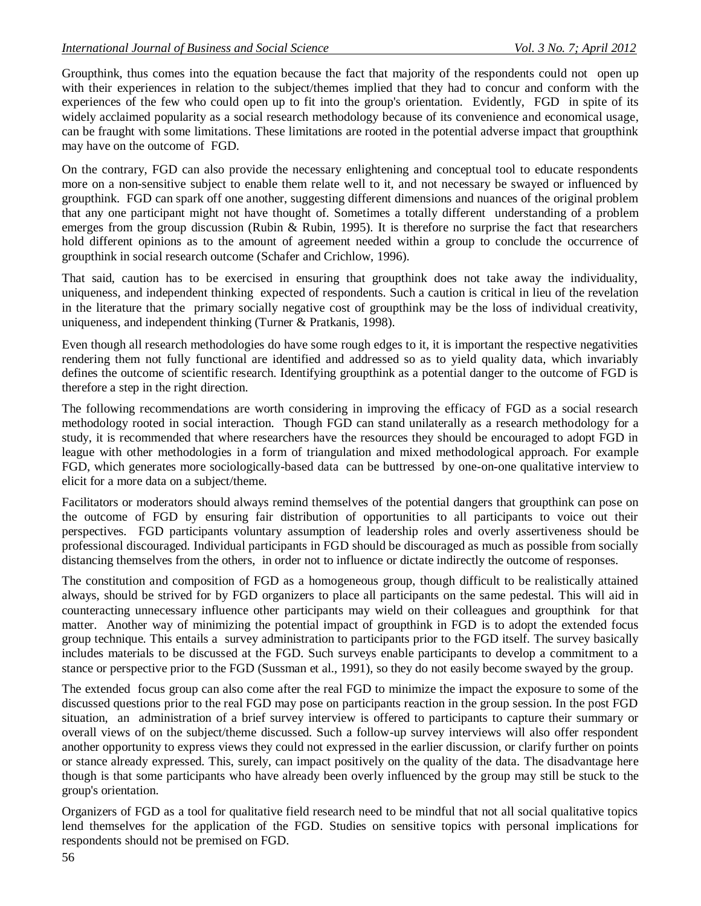Groupthink, thus comes into the equation because the fact that majority of the respondents could not open up with their experiences in relation to the subject/themes implied that they had to concur and conform with the experiences of the few who could open up to fit into the group's orientation. Evidently, FGD in spite of its widely acclaimed popularity as a social research methodology because of its convenience and economical usage, can be fraught with some limitations. These limitations are rooted in the potential adverse impact that groupthink may have on the outcome of FGD.

On the contrary, FGD can also provide the necessary enlightening and conceptual tool to educate respondents more on a non-sensitive subject to enable them relate well to it, and not necessary be swayed or influenced by groupthink. FGD can spark off one another, suggesting different dimensions and nuances of the original problem that any one participant might not have thought of. Sometimes a totally different understanding of a problem emerges from the group discussion (Rubin & Rubin, 1995). It is therefore no surprise the fact that researchers hold different opinions as to the amount of agreement needed within a group to conclude the occurrence of groupthink in social research outcome (Schafer and Crichlow, 1996).

That said, caution has to be exercised in ensuring that groupthink does not take away the individuality, uniqueness, and independent thinking expected of respondents. Such a caution is critical in lieu of the revelation in the literature that the primary socially negative cost of groupthink may be the loss of individual creativity, uniqueness, and independent thinking (Turner & Pratkanis, 1998).

Even though all research methodologies do have some rough edges to it, it is important the respective negativities rendering them not fully functional are identified and addressed so as to yield quality data, which invariably defines the outcome of scientific research. Identifying groupthink as a potential danger to the outcome of FGD is therefore a step in the right direction.

The following recommendations are worth considering in improving the efficacy of FGD as a social research methodology rooted in social interaction. Though FGD can stand unilaterally as a research methodology for a study, it is recommended that where researchers have the resources they should be encouraged to adopt FGD in league with other methodologies in a form of triangulation and mixed methodological approach. For example FGD, which generates more sociologically-based data can be buttressed by one-on-one qualitative interview to elicit for a more data on a subject/theme.

Facilitators or moderators should always remind themselves of the potential dangers that groupthink can pose on the outcome of FGD by ensuring fair distribution of opportunities to all participants to voice out their perspectives. FGD participants voluntary assumption of leadership roles and overly assertiveness should be professional discouraged. Individual participants in FGD should be discouraged as much as possible from socially distancing themselves from the others, in order not to influence or dictate indirectly the outcome of responses.

The constitution and composition of FGD as a homogeneous group, though difficult to be realistically attained always, should be strived for by FGD organizers to place all participants on the same pedestal. This will aid in counteracting unnecessary influence other participants may wield on their colleagues and groupthink for that matter. Another way of minimizing the potential impact of groupthink in FGD is to adopt the extended focus group technique. This entails a survey administration to participants prior to the FGD itself. The survey basically includes materials to be discussed at the FGD. Such surveys enable participants to develop a commitment to a stance or perspective prior to the FGD (Sussman et al., 1991), so they do not easily become swayed by the group.

The extended focus group can also come after the real FGD to minimize the impact the exposure to some of the discussed questions prior to the real FGD may pose on participants reaction in the group session. In the post FGD situation, an administration of a brief survey interview is offered to participants to capture their summary or overall views of on the subject/theme discussed. Such a follow-up survey interviews will also offer respondent another opportunity to express views they could not expressed in the earlier discussion, or clarify further on points or stance already expressed. This, surely, can impact positively on the quality of the data. The disadvantage here though is that some participants who have already been overly influenced by the group may still be stuck to the group's orientation.

Organizers of FGD as a tool for qualitative field research need to be mindful that not all social qualitative topics lend themselves for the application of the FGD. Studies on sensitive topics with personal implications for respondents should not be premised on FGD.